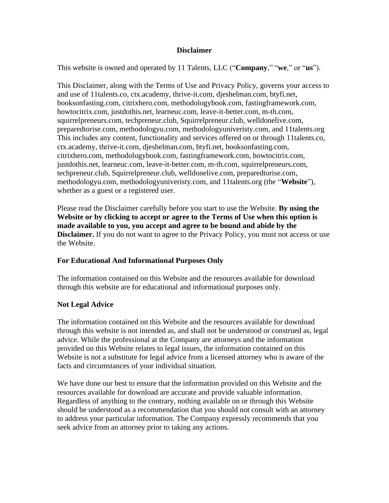### **Disclaimer**

This website is owned and operated by 11 Talents, LLC ("**Company**," "**we**," or "**us**").

This Disclaimer, along with the Terms of Use and Privacy Policy, governs your access to and use of 11talents.co, ctx.academy, thrive-it.com, djeshelman.com, btyfi.net, booksonfasting.com, citrixhero.com, methodologybook.com, fastingframework.com, howtocitrix.com, justdothis.net, learneuc.com, leave-it-better.com, m-th.com, squirrelpreneurs.com, techpreneur.club, Squirrelpreneur.club, welldonelive.com, preparedtorise.com, methodologyu.com, methodologyuniveristy.com, and 11talents.org This includes any content, functionality and services offered on or through 11talents.co, ctx.academy, thrive-it.com, djeshelman.com, btyfi.net, booksonfasting.com, citrixhero.com, methodologybook.com, fastingframework.com, howtocitrix.com, justdothis.net, learneuc.com, leave-it-better.com, m-th.com, squirrelpreneurs.com, techpreneur.club, Squirrelpreneur.club, welldonelive.com, preparedtorise.com, methodologyu.com, methodologyuniveristy.com, and 11talents.org (the "**Website**"), whether as a guest or a registered user.

Please read the Disclaimer carefully before you start to use the Website. **By using the Website or by clicking to accept or agree to the Terms of Use when this option is made available to you, you accept and agree to be bound and abide by the Disclaimer.** If you do not want to agree to the Privacy Policy, you must not access or use the Website.

# **For Educational And Informational Purposes Only**

The information contained on this Website and the resources available for download through this website are for educational and informational purposes only.

# **Not Legal Advice**

The information contained on this Website and the resources available for download through this website is not intended as, and shall not be understood or construed as, legal advice. While the professional at the Company are attorneys and the information provided on this Website relates to legal issues, the information contained on this Website is not a substitute for legal advice from a licensed attorney who is aware of the facts and circumstances of your individual situation.

We have done our best to ensure that the information provided on this Website and the resources available for download are accurate and provide valuable information. Regardless of anything to the contrary, nothing available on or through this Website should be understood as a recommendation that you should not consult with an attorney to address your particular information. The Company expressly recommends that you seek advice from an attorney prior to taking any actions.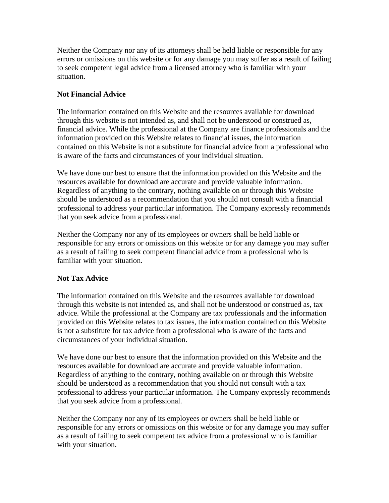Neither the Company nor any of its attorneys shall be held liable or responsible for any errors or omissions on this website or for any damage you may suffer as a result of failing to seek competent legal advice from a licensed attorney who is familiar with your situation.

# **Not Financial Advice**

The information contained on this Website and the resources available for download through this website is not intended as, and shall not be understood or construed as, financial advice. While the professional at the Company are finance professionals and the information provided on this Website relates to financial issues, the information contained on this Website is not a substitute for financial advice from a professional who is aware of the facts and circumstances of your individual situation.

We have done our best to ensure that the information provided on this Website and the resources available for download are accurate and provide valuable information. Regardless of anything to the contrary, nothing available on or through this Website should be understood as a recommendation that you should not consult with a financial professional to address your particular information. The Company expressly recommends that you seek advice from a professional.

Neither the Company nor any of its employees or owners shall be held liable or responsible for any errors or omissions on this website or for any damage you may suffer as a result of failing to seek competent financial advice from a professional who is familiar with your situation.

# **Not Tax Advice**

The information contained on this Website and the resources available for download through this website is not intended as, and shall not be understood or construed as, tax advice. While the professional at the Company are tax professionals and the information provided on this Website relates to tax issues, the information contained on this Website is not a substitute for tax advice from a professional who is aware of the facts and circumstances of your individual situation.

We have done our best to ensure that the information provided on this Website and the resources available for download are accurate and provide valuable information. Regardless of anything to the contrary, nothing available on or through this Website should be understood as a recommendation that you should not consult with a tax professional to address your particular information. The Company expressly recommends that you seek advice from a professional.

Neither the Company nor any of its employees or owners shall be held liable or responsible for any errors or omissions on this website or for any damage you may suffer as a result of failing to seek competent tax advice from a professional who is familiar with your situation.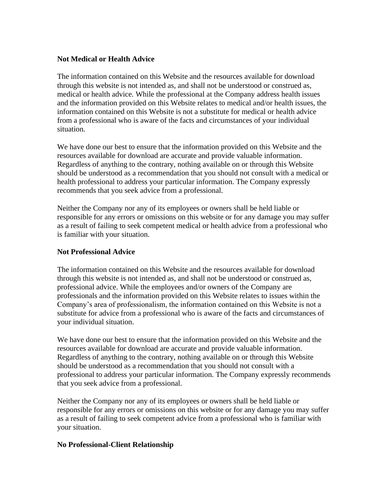### **Not Medical or Health Advice**

The information contained on this Website and the resources available for download through this website is not intended as, and shall not be understood or construed as, medical or health advice. While the professional at the Company address health issues and the information provided on this Website relates to medical and/or health issues, the information contained on this Website is not a substitute for medical or health advice from a professional who is aware of the facts and circumstances of your individual situation.

We have done our best to ensure that the information provided on this Website and the resources available for download are accurate and provide valuable information. Regardless of anything to the contrary, nothing available on or through this Website should be understood as a recommendation that you should not consult with a medical or health professional to address your particular information. The Company expressly recommends that you seek advice from a professional.

Neither the Company nor any of its employees or owners shall be held liable or responsible for any errors or omissions on this website or for any damage you may suffer as a result of failing to seek competent medical or health advice from a professional who is familiar with your situation.

## **Not Professional Advice**

The information contained on this Website and the resources available for download through this website is not intended as, and shall not be understood or construed as, professional advice. While the employees and/or owners of the Company are professionals and the information provided on this Website relates to issues within the Company's area of professionalism, the information contained on this Website is not a substitute for advice from a professional who is aware of the facts and circumstances of your individual situation.

We have done our best to ensure that the information provided on this Website and the resources available for download are accurate and provide valuable information. Regardless of anything to the contrary, nothing available on or through this Website should be understood as a recommendation that you should not consult with a professional to address your particular information. The Company expressly recommends that you seek advice from a professional.

Neither the Company nor any of its employees or owners shall be held liable or responsible for any errors or omissions on this website or for any damage you may suffer as a result of failing to seek competent advice from a professional who is familiar with your situation.

### **No Professional-Client Relationship**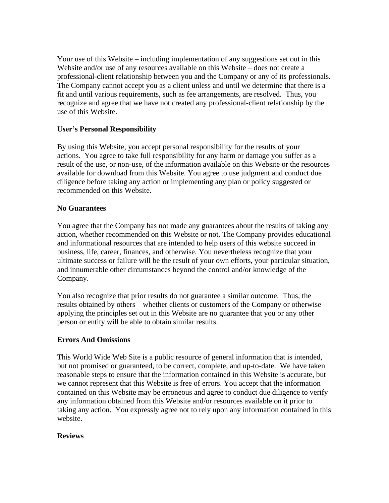Your use of this Website – including implementation of any suggestions set out in this Website and/or use of any resources available on this Website – does not create a professional-client relationship between you and the Company or any of its professionals. The Company cannot accept you as a client unless and until we determine that there is a fit and until various requirements, such as fee arrangements, are resolved. Thus, you recognize and agree that we have not created any professional-client relationship by the use of this Website.

## **User's Personal Responsibility**

By using this Website, you accept personal responsibility for the results of your actions. You agree to take full responsibility for any harm or damage you suffer as a result of the use, or non-use, of the information available on this Website or the resources available for download from this Website. You agree to use judgment and conduct due diligence before taking any action or implementing any plan or policy suggested or recommended on this Website.

### **No Guarantees**

You agree that the Company has not made any guarantees about the results of taking any action, whether recommended on this Website or not. The Company provides educational and informational resources that are intended to help users of this website succeed in business, life, career, finances, and otherwise. You nevertheless recognize that your ultimate success or failure will be the result of your own efforts, your particular situation, and innumerable other circumstances beyond the control and/or knowledge of the Company.

You also recognize that prior results do not guarantee a similar outcome. Thus, the results obtained by others – whether clients or customers of the Company or otherwise – applying the principles set out in this Website are no guarantee that you or any other person or entity will be able to obtain similar results.

### **Errors And Omissions**

This World Wide Web Site is a public resource of general information that is intended, but not promised or guaranteed, to be correct, complete, and up-to-date. We have taken reasonable steps to ensure that the information contained in this Website is accurate, but we cannot represent that this Website is free of errors. You accept that the information contained on this Website may be erroneous and agree to conduct due diligence to verify any information obtained from this Website and/or resources available on it prior to taking any action. You expressly agree not to rely upon any information contained in this website.

### **Reviews**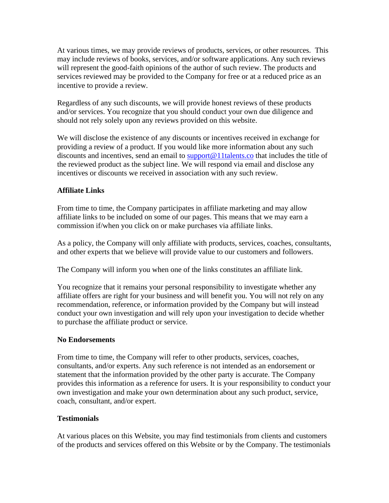At various times, we may provide reviews of products, services, or other resources. This may include reviews of books, services, and/or software applications. Any such reviews will represent the good-faith opinions of the author of such review. The products and services reviewed may be provided to the Company for free or at a reduced price as an incentive to provide a review.

Regardless of any such discounts, we will provide honest reviews of these products and/or services. You recognize that you should conduct your own due diligence and should not rely solely upon any reviews provided on this website.

We will disclose the existence of any discounts or incentives received in exchange for providing a review of a product. If you would like more information about any such discounts and incentives, send an email to [support@11talents.co](mailto:support@11talents.co) that includes the title of the reviewed product as the subject line. We will respond via email and disclose any incentives or discounts we received in association with any such review.

# **Affiliate Links**

From time to time, the Company participates in affiliate marketing and may allow affiliate links to be included on some of our pages. This means that we may earn a commission if/when you click on or make purchases via affiliate links.

As a policy, the Company will only affiliate with products, services, coaches, consultants, and other experts that we believe will provide value to our customers and followers.

The Company will inform you when one of the links constitutes an affiliate link.

You recognize that it remains your personal responsibility to investigate whether any affiliate offers are right for your business and will benefit you. You will not rely on any recommendation, reference, or information provided by the Company but will instead conduct your own investigation and will rely upon your investigation to decide whether to purchase the affiliate product or service.

# **No Endorsements**

From time to time, the Company will refer to other products, services, coaches, consultants, and/or experts. Any such reference is not intended as an endorsement or statement that the information provided by the other party is accurate. The Company provides this information as a reference for users. It is your responsibility to conduct your own investigation and make your own determination about any such product, service, coach, consultant, and/or expert.

# **Testimonials**

At various places on this Website, you may find testimonials from clients and customers of the products and services offered on this Website or by the Company. The testimonials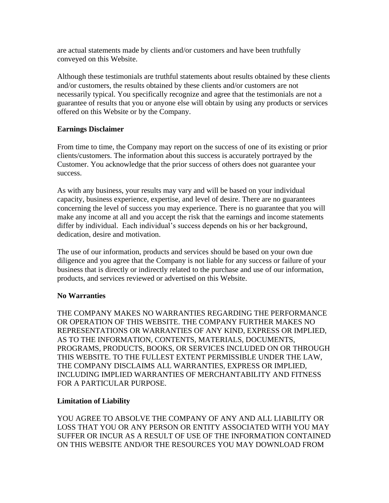are actual statements made by clients and/or customers and have been truthfully conveyed on this Website.

Although these testimonials are truthful statements about results obtained by these clients and/or customers, the results obtained by these clients and/or customers are not necessarily typical. You specifically recognize and agree that the testimonials are not a guarantee of results that you or anyone else will obtain by using any products or services offered on this Website or by the Company.

## **Earnings Disclaimer**

From time to time, the Company may report on the success of one of its existing or prior clients/customers. The information about this success is accurately portrayed by the Customer. You acknowledge that the prior success of others does not guarantee your success.

As with any business, your results may vary and will be based on your individual capacity, business experience, expertise, and level of desire. There are no guarantees concerning the level of success you may experience. There is no guarantee that you will make any income at all and you accept the risk that the earnings and income statements differ by individual. Each individual's success depends on his or her background, dedication, desire and motivation.

The use of our information, products and services should be based on your own due diligence and you agree that the Company is not liable for any success or failure of your business that is directly or indirectly related to the purchase and use of our information, products, and services reviewed or advertised on this Website.

### **No Warranties**

THE COMPANY MAKES NO WARRANTIES REGARDING THE PERFORMANCE OR OPERATION OF THIS WEBSITE. THE COMPANY FURTHER MAKES NO REPRESENTATIONS OR WARRANTIES OF ANY KIND, EXPRESS OR IMPLIED, AS TO THE INFORMATION, CONTENTS, MATERIALS, DOCUMENTS, PROGRAMS, PRODUCTS, BOOKS, OR SERVICES INCLUDED ON OR THROUGH THIS WEBSITE. TO THE FULLEST EXTENT PERMISSIBLE UNDER THE LAW, THE COMPANY DISCLAIMS ALL WARRANTIES, EXPRESS OR IMPLIED, INCLUDING IMPLIED WARRANTIES OF MERCHANTABILITY AND FITNESS FOR A PARTICULAR PURPOSE.

### **Limitation of Liability**

YOU AGREE TO ABSOLVE THE COMPANY OF ANY AND ALL LIABILITY OR LOSS THAT YOU OR ANY PERSON OR ENTITY ASSOCIATED WITH YOU MAY SUFFER OR INCUR AS A RESULT OF USE OF THE INFORMATION CONTAINED ON THIS WEBSITE AND/OR THE RESOURCES YOU MAY DOWNLOAD FROM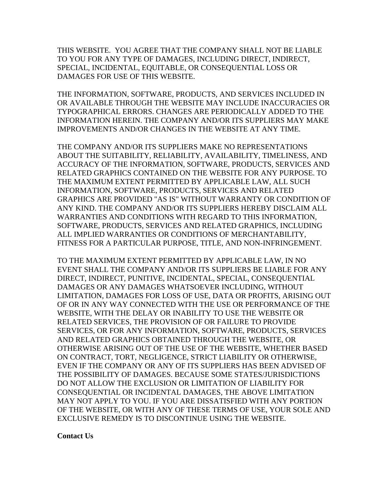THIS WEBSITE. YOU AGREE THAT THE COMPANY SHALL NOT BE LIABLE TO YOU FOR ANY TYPE OF DAMAGES, INCLUDING DIRECT, INDIRECT, SPECIAL, INCIDENTAL, EQUITABLE, OR CONSEQUENTIAL LOSS OR DAMAGES FOR USE OF THIS WEBSITE.

THE INFORMATION, SOFTWARE, PRODUCTS, AND SERVICES INCLUDED IN OR AVAILABLE THROUGH THE WEBSITE MAY INCLUDE INACCURACIES OR TYPOGRAPHICAL ERRORS. CHANGES ARE PERIODICALLY ADDED TO THE INFORMATION HEREIN. THE COMPANY AND/OR ITS SUPPLIERS MAY MAKE IMPROVEMENTS AND/OR CHANGES IN THE WEBSITE AT ANY TIME.

THE COMPANY AND/OR ITS SUPPLIERS MAKE NO REPRESENTATIONS ABOUT THE SUITABILITY, RELIABILITY, AVAILABILITY, TIMELINESS, AND ACCURACY OF THE INFORMATION, SOFTWARE, PRODUCTS, SERVICES AND RELATED GRAPHICS CONTAINED ON THE WEBSITE FOR ANY PURPOSE. TO THE MAXIMUM EXTENT PERMITTED BY APPLICABLE LAW, ALL SUCH INFORMATION, SOFTWARE, PRODUCTS, SERVICES AND RELATED GRAPHICS ARE PROVIDED "AS IS" WITHOUT WARRANTY OR CONDITION OF ANY KIND. THE COMPANY AND/OR ITS SUPPLIERS HEREBY DISCLAIM ALL WARRANTIES AND CONDITIONS WITH REGARD TO THIS INFORMATION, SOFTWARE, PRODUCTS, SERVICES AND RELATED GRAPHICS, INCLUDING ALL IMPLIED WARRANTIES OR CONDITIONS OF MERCHANTABILITY, FITNESS FOR A PARTICULAR PURPOSE, TITLE, AND NON-INFRINGEMENT.

TO THE MAXIMUM EXTENT PERMITTED BY APPLICABLE LAW, IN NO EVENT SHALL THE COMPANY AND/OR ITS SUPPLIERS BE LIABLE FOR ANY DIRECT, INDIRECT, PUNITIVE, INCIDENTAL, SPECIAL, CONSEQUENTIAL DAMAGES OR ANY DAMAGES WHATSOEVER INCLUDING, WITHOUT LIMITATION, DAMAGES FOR LOSS OF USE, DATA OR PROFITS, ARISING OUT OF OR IN ANY WAY CONNECTED WITH THE USE OR PERFORMANCE OF THE WEBSITE, WITH THE DELAY OR INABILITY TO USE THE WEBSITE OR RELATED SERVICES, THE PROVISION OF OR FAILURE TO PROVIDE SERVICES, OR FOR ANY INFORMATION, SOFTWARE, PRODUCTS, SERVICES AND RELATED GRAPHICS OBTAINED THROUGH THE WEBSITE, OR OTHERWISE ARISING OUT OF THE USE OF THE WEBSITE, WHETHER BASED ON CONTRACT, TORT, NEGLIGENCE, STRICT LIABILITY OR OTHERWISE, EVEN IF THE COMPANY OR ANY OF ITS SUPPLIERS HAS BEEN ADVISED OF THE POSSIBILITY OF DAMAGES. BECAUSE SOME STATES/JURISDICTIONS DO NOT ALLOW THE EXCLUSION OR LIMITATION OF LIABILITY FOR CONSEQUENTIAL OR INCIDENTAL DAMAGES, THE ABOVE LIMITATION MAY NOT APPLY TO YOU. IF YOU ARE DISSATISFIED WITH ANY PORTION OF THE WEBSITE, OR WITH ANY OF THESE TERMS OF USE, YOUR SOLE AND EXCLUSIVE REMEDY IS TO DISCONTINUE USING THE WEBSITE.

**Contact Us**